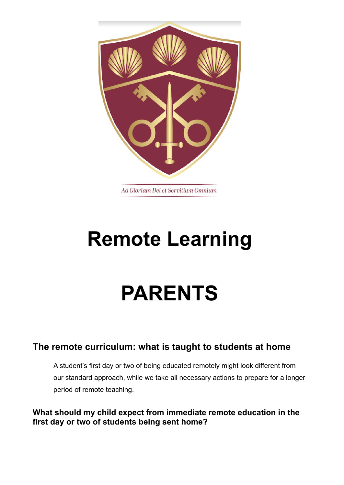

# **Remote Learning**

# **PARENTS**

## **The remote curriculum: what is taught to students at home**

A student's first day or two of being educated remotely might look different from our standard approach, while we take all necessary actions to prepare for a longer period of remote teaching.

**What should my child expect from immediate remote education in the first day or two of students being sent home?**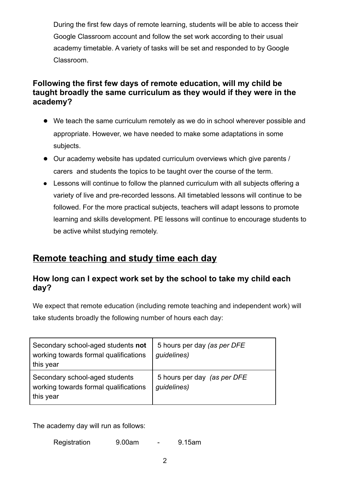During the first few days of remote learning, students will be able to access their Google Classroom account and follow the set work according to their usual academy timetable. A variety of tasks will be set and responded to by Google Classroom.

#### **Following the first few days of remote education, will my child be taught broadly the same curriculum as they would if they were in the academy?**

- We teach the same curriculum remotely as we do in school wherever possible and appropriate. However, we have needed to make some adaptations in some subjects.
- Our academy website has updated curriculum overviews which give parents / carers and students the topics to be taught over the course of the term.
- Lessons will continue to follow the planned curriculum with all subjects offering a variety of live and pre-recorded lessons. All timetabled lessons will continue to be followed. For the more practical subjects, teachers will adapt lessons to promote learning and skills development. PE lessons will continue to encourage students to be active whilst studying remotely.

## **Remote teaching and study time each day**

#### **How long can I expect work set by the school to take my child each day?**

We expect that remote education (including remote teaching and independent work) will take students broadly the following number of hours each day:

| Secondary school-aged students not<br>working towards formal qualifications<br>this year | 5 hours per day (as per DFE<br>guidelines) |
|------------------------------------------------------------------------------------------|--------------------------------------------|
| Secondary school-aged students<br>working towards formal qualifications<br>this year     | 5 hours per day (as per DFE<br>guidelines) |

The academy day will run as follows:

Registration 9.00am - 9.15am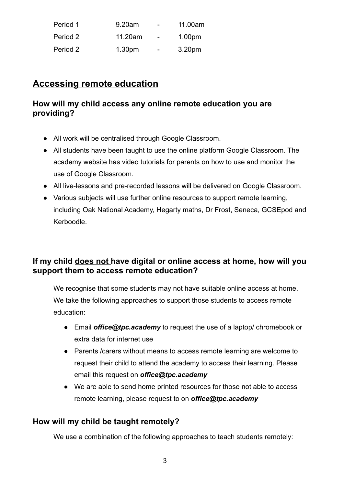| Period 1 | 9.20am             | $\blacksquare$           | 11.00am            |
|----------|--------------------|--------------------------|--------------------|
| Period 2 | 11.20am            | $\overline{\phantom{0}}$ | 1.00 <sub>pm</sub> |
| Period 2 | 1.30 <sub>pm</sub> | ۰.                       | 3.20pm             |

## **Accessing remote education**

#### **How will my child access any online remote education you are providing?**

- All work will be centralised through Google Classroom.
- All students have been taught to use the online platform Google Classroom. The academy website has video tutorials for parents on how to use and monitor the use of Google Classroom.
- All live-lessons and pre-recorded lessons will be delivered on Google Classroom.
- Various subjects will use further online resources to support remote learning, including Oak National Academy, Hegarty maths, Dr Frost, Seneca, GCSEpod and Kerboodle.

#### **If my child does not have digital or online access at home, how will you support them to access remote education?**

We recognise that some students may not have suitable online access at home. We take the following approaches to support those students to access remote education:

- Email *office@tpc.academy* to request the use of a laptop/ chromebook or extra data for internet use
- Parents /carers without means to access remote learning are welcome to request their child to attend the academy to access their learning. Please email this request on *office@tpc.academy*
- We are able to send home printed resources for those not able to access remote learning, please request to on *office@tpc.academy*

#### **How will my child be taught remotely?**

We use a combination of the following approaches to teach students remotely: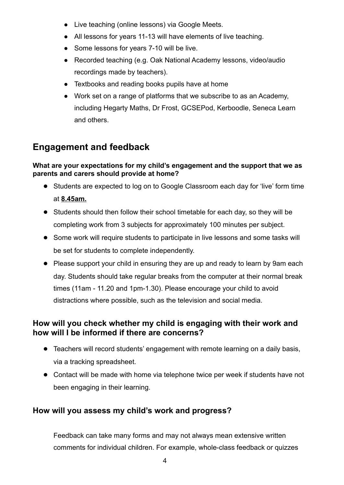- Live teaching (online lessons) via Google Meets.
- All lessons for years 11-13 will have elements of live teaching.
- Some lessons for years 7-10 will be live.
- Recorded teaching (e.g. Oak National Academy lessons, video/audio recordings made by teachers).
- Textbooks and reading books pupils have at home
- Work set on a range of platforms that we subscribe to as an Academy, including Hegarty Maths, Dr Frost, GCSEPod, Kerboodle, Seneca Learn and others.

# **Engagement and feedback**

#### **What are your expectations for my child's engagement and the support that we as parents and carers should provide at home?**

- Students are expected to log on to Google Classroom each day for 'live' form time at **8.45am.**
- Students should then follow their school timetable for each day, so they will be completing work from 3 subjects for approximately 100 minutes per subject.
- Some work will require students to participate in live lessons and some tasks will be set for students to complete independently.
- Please support your child in ensuring they are up and ready to learn by 9am each day. Students should take regular breaks from the computer at their normal break times (11am - 11.20 and 1pm-1.30). Please encourage your child to avoid distractions where possible, such as the television and social media.

#### **How will you check whether my child is engaging with their work and how will I be informed if there are concerns?**

- Teachers will record students' engagement with remote learning on a daily basis, via a tracking spreadsheet.
- Contact will be made with home via telephone twice per week if students have not been engaging in their learning.

### **How will you assess my child's work and progress?**

Feedback can take many forms and may not always mean extensive written comments for individual children. For example, whole-class feedback or quizzes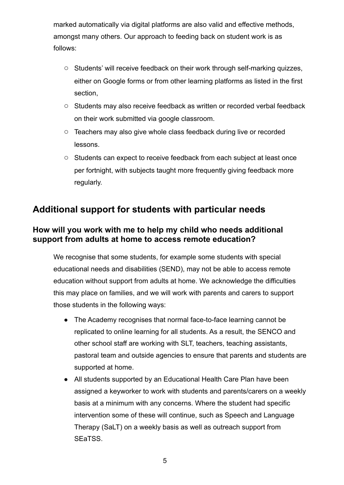marked automatically via digital platforms are also valid and effective methods, amongst many others. Our approach to feeding back on student work is as follows:

- Students' will receive feedback on their work through self-marking quizzes, either on Google forms or from other learning platforms as listed in the first section,
- Students may also receive feedback as written or recorded verbal feedback on their work submitted via google classroom.
- Teachers may also give whole class feedback during live or recorded lessons.
- Students can expect to receive feedback from each subject at least once per fortnight, with subjects taught more frequently giving feedback more regularly.

# **Additional support for students with particular needs**

#### **How will you work with me to help my child who needs additional support from adults at home to access remote education?**

We recognise that some students, for example some students with special educational needs and disabilities (SEND), may not be able to access remote education without support from adults at home. We acknowledge the difficulties this may place on families, and we will work with parents and carers to support those students in the following ways:

- The Academy recognises that normal face-to-face learning cannot be replicated to online learning for all students. As a result, the SENCO and other school staff are working with SLT, teachers, teaching assistants, pastoral team and outside agencies to ensure that parents and students are supported at home.
- All students supported by an Educational Health Care Plan have been assigned a keyworker to work with students and parents/carers on a weekly basis at a minimum with any concerns. Where the student had specific intervention some of these will continue, such as Speech and Language Therapy (SaLT) on a weekly basis as well as outreach support from SEaTSS.